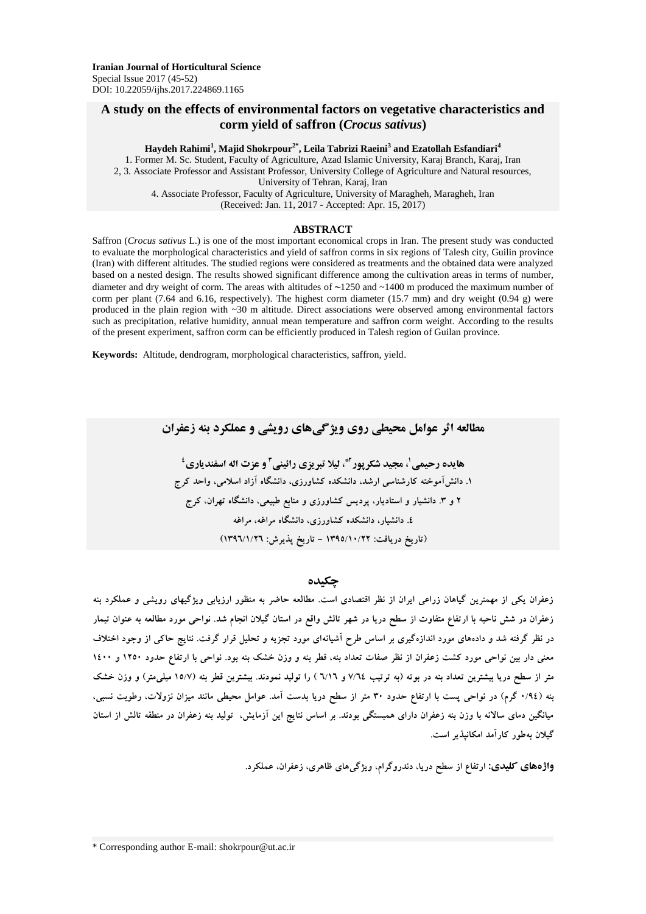## **A study on the effects of environmental factors on vegetative characteristics and corm yield of saffron (***Crocus sativus***)**

#### **Haydeh Rahimi<sup>1</sup> , Majid Shokrpour2\*, Leila Tabrizi Raeini<sup>3</sup> and Ezatollah Esfandiari<sup>4</sup>**

1. Former M. Sc. Student, Faculty of Agriculture, Azad Islamic University, Karaj Branch, Karaj, Iran 2, 3. Associate Professor and Assistant Professor, University College of Agriculture and Natural resources, University of Tehran, Karaj, Iran 4. Associate Professor, Faculty of Agriculture, University of Maragheh, Maragheh, Iran (Received: Jan. 11, 2017 - Accepted: Apr. 15, 2017)

#### **ABSTRACT**

Saffron (*Crocus sativus* L.) is one of the most important economical crops in Iran. The present study was conducted to evaluate the morphological characteristics and yield of saffron corms in six regions of Talesh city, Guilin province (Iran) with different altitudes. The studied regions were considered as treatments and the obtained data were analyzed based on a nested design. The results showed significant difference among the cultivation areas in terms of number, diameter and dry weight of corm. The areas with altitudes of **~**1250 and ~1400 m produced the maximum number of corm per plant (7.64 and 6.16, respectively). The highest corm diameter (15.7 mm) and dry weight (0.94 g) were produced in the plain region with ~30 m altitude. Direct associations were observed among environmental factors such as precipitation, relative humidity, annual mean temperature and saffron corm weight. According to the results of the present experiment, saffron corm can be efficiently produced in Talesh region of Guilan province.

**Keywords:** Altitude, dendrogram, morphological characteristics, saffron, yield.

**مطالعه اثر عوامل محیطی روی ویژگیهای رویشی و عملکرد بنه زعفران**

**1 هایده رحیمی و عزت اله اسفندیاری <sup>3</sup> ، لیال تبریزی رائینی 2\* ، مجید شکرپور 4 .۱ دانشآموخته کارشناسی ارشد، دانشکده کشاورزی، دانشگاه آزاد اسالمی، واحد کرج 2 و .3 دانشیار و استادیار، پردیس کشاورزی و منابع طبیعی، دانشگاه تهران، کرج .4 دانشیار، دانشکده کشاورزی، دانشگاه مراغه، مراغه )تاریخ دریافت: ۱395/۱0/22 - تاریخ پذیرش: ۱396/۱/26(**

### **چکیده**

**زعفران یکی از مهمترین گیاهان زراعی ایران از نظر اقتصادی است. مطالعه حاضر به منظور ارزیابی ویژگیهای رویشی و عملکرد بنه زعفران در شش ناحیه با ارتفاع متفاوت از سطح دریا در شهر تالش واقع در استان گیالن انجام شد. نواحی مورد مطالعه به عنوان تیمار در نظر گرفته شد و دادههای مورد اندازهگیری بر اساس طرح آشیانهای مورد تجزیه و تحلیل قرار گرفت. نتایج حاکی از وجود اختالف معنی دار بین نواحی مورد کشت زعفران از نظر صفات تعداد بنه، قطر بنه و وزن خشک بنه بود. نواحی با ارتفاع حدود ۱250 و ۱400 متر از سطح دریا بیشترین تعداد بنه در بوته )به ترتیب 7/64 و 6/۱6 ( را تولید نمودند. بیشترین قطر بنه )۱5/7 میلیمتر( و وزن خشک بنه )0/94 گرم( در نواحی پست با ارتفاع حدود 30 متر از سطح دریا بدست آمد. عوامل محیطی مانند میزان نزوالت، رطوبت نسبی، میانگین دمای ساالنه با وزن بنه زعفران دارای همبستگی بودند. بر اساس نتایج این آزمایش، تولید بنه زعفران در منطقه تالش از استان گیالن بهطور کارآمد امکانپذیر است.**

**واژههای کلیدی: ارتفاع از سطح دریا، دندروگرام، ویژگیهای ظاهری، زعفران، عملکرد.**

\* Corresponding author E-mail: shokrpour@ut.ac.ir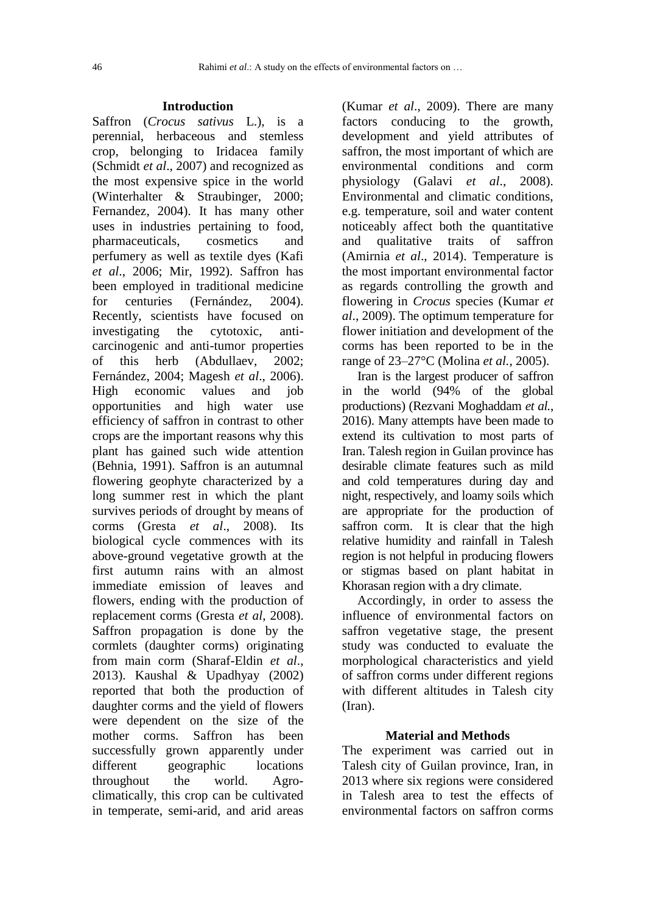## **Introduction**

Saffron (*Crocus sativus* L.), is a perennial, herbaceous and stemless crop, belonging to Iridacea family (Schmidt *et al*., 2007) and recognized as the most expensive spice in the world (Winterhalter & Straubinger, 2000; Fernandez, 2004). It has many other uses in industries pertaining to food, pharmaceuticals, cosmetics and perfumery as well as textile dyes (Kafi *et al*., 2006; Mir, 1992). Saffron has been employed in traditional medicine for centuries (Fernández, 2004). Recently, scientists have focused on investigating the cytotoxic, anticarcinogenic and anti-tumor properties of this herb (Abdullaev, 2002; Fernández, 2004; Magesh *et al*., 2006). High economic values and job opportunities and high water use efficiency of saffron in contrast to other crops are the important reasons why this plant has gained such wide attention (Behnia, 1991). Saffron is an autumnal flowering geophyte characterized by a long summer rest in which the plant survives periods of drought by means of corms (Gresta *et al*., 2008). Its biological cycle commences with its above-ground vegetative growth at the first autumn rains with an almost immediate emission of leaves and flowers, ending with the production of replacement corms (Gresta *et al*, 2008). Saffron propagation is done by the cormlets (daughter corms) originating from main corm (Sharaf-Eldin *et al*., 2013). Kaushal & Upadhyay (2002) reported that both the production of daughter corms and the yield of flowers were dependent on the size of the mother corms. Saffron has been successfully grown apparently under different geographic locations throughout the world. Agroclimatically, this crop can be cultivated in temperate, semi-arid, and arid areas (Kumar *et al*., 2009). There are many factors conducing to the growth, development and yield attributes of saffron, the most important of which are environmental conditions and corm physiology (Galavi *et al*., 2008). Environmental and climatic conditions, e.g. temperature, soil and water content noticeably affect both the quantitative and qualitative traits of saffron (Amirnia *et al*., 2014). Temperature is the most important environmental factor as regards controlling the growth and flowering in *Crocus* species (Kumar *et al*., 2009). The optimum temperature for flower initiation and development of the corms has been reported to be in the range of 23–27°C (Molina *et al.*, 2005).

Iran is the largest producer of saffron in the world (94% of the global productions) (Rezvani Moghaddam *et al.*, 2016). Many attempts have been made to extend its cultivation to most parts of Iran. Talesh region in Guilan province has desirable climate features such as mild and cold temperatures during day and night, respectively, and loamy soils which are appropriate for the production of saffron corm. It is clear that the high relative humidity and rainfall in Talesh region is not helpful in producing flowers or stigmas based on plant habitat in Khorasan region with a dry climate.

Accordingly, in order to assess the influence of environmental factors on saffron vegetative stage, the present study was conducted to evaluate the morphological characteristics and yield of saffron corms under different regions with different altitudes in Talesh city (Iran).

## **Material and Methods**

The experiment was carried out in Talesh city of Guilan province, Iran, in 2013 where six regions were considered in Talesh area to test the effects of environmental factors on saffron corms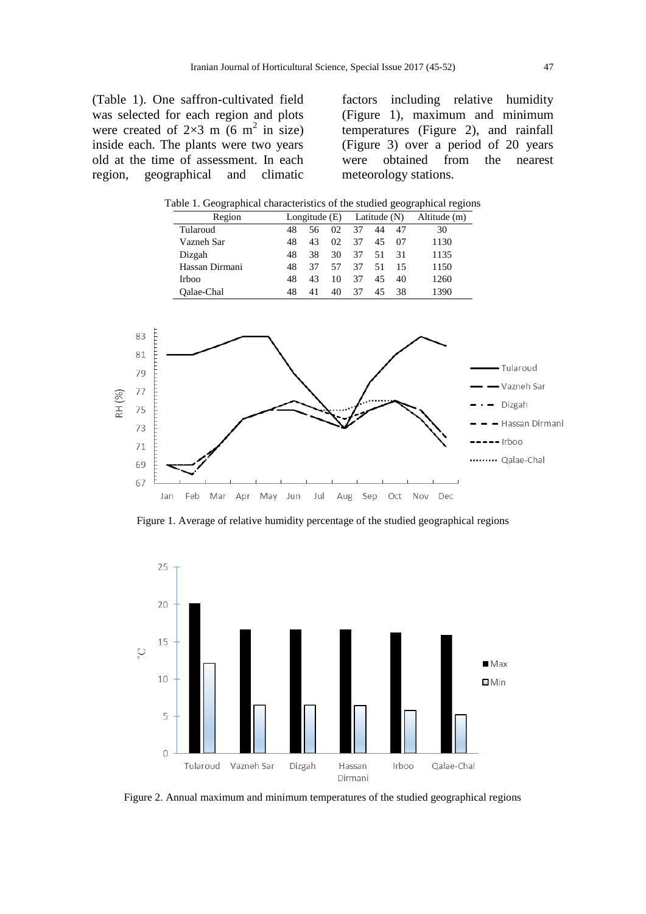(Table 1). One saffron-cultivated field was selected for each region and plots were created of  $2\times3$  m (6 m<sup>2</sup> in size) inside each. The plants were two years old at the time of assessment. In each region, geographical and climatic

factors including relative humidity (Figure 1), maximum and minimum temperatures (Figure 2), and rainfall (Figure 3) over a period of 20 years were obtained from the nearest meteorology stations.

|                                                              | Region                   |                                        | Longitude (E) |    |         | Latitude $(N)$ |     | Altitude (m) |                                                                                   |
|--------------------------------------------------------------|--------------------------|----------------------------------------|---------------|----|---------|----------------|-----|--------------|-----------------------------------------------------------------------------------|
|                                                              | Tularoud                 | 56<br>37<br>44<br>30<br>48<br>02<br>47 |               |    |         |                |     |              |                                                                                   |
|                                                              | Vazneh Sar               | 48                                     | 43            | 02 | 37      | 45             | 07  | 1130         |                                                                                   |
|                                                              | Dizgah                   | 48                                     | 38            | 30 | 37      | 51             | 31  | 1135         |                                                                                   |
|                                                              | Hassan Dirmani           | 48                                     | 37            | 57 | 37      | 51             | 15  | 1150         |                                                                                   |
|                                                              | Irboo                    | 48                                     | 43            | 10 | 37      | 45             | 40  | 1260         |                                                                                   |
|                                                              | Qalae-Chal               | 48                                     | 41            | 40 | 37      | 45             | 38  | 1390         |                                                                                   |
| 83<br>81<br>79<br>77<br>RH (%)<br>75<br>73<br>71<br>69<br>67 | Feb<br>Mar<br>Apr<br>Jan | May<br>Jun                             | Jul           |    | Aug Sep |                | Oct | Nov Dec      | - Tularoud<br>- Vazneh Sar<br>Dizgah<br>- Hassan Dirmani<br>- Irboo<br>Qalae-Chal |

Table 1. Geographical characteristics of the studied geographical regions

Figure 1. Average of relative humidity percentage of the studied geographical regions



Figure 2. Annual maximum and minimum temperatures of the studied geographical regions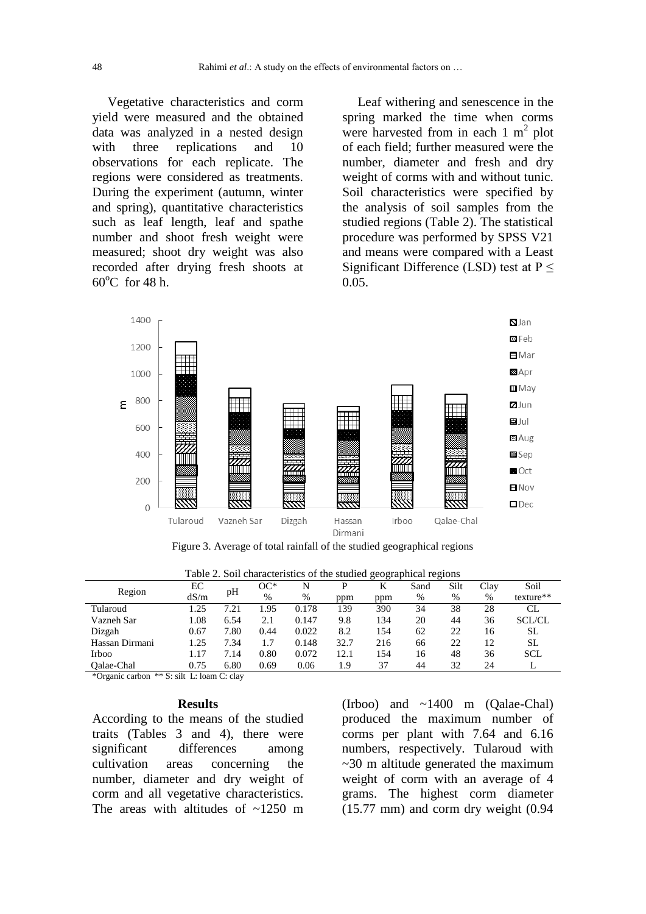Vegetative characteristics and corm yield were measured and the obtained data was analyzed in a nested design with three replications and 10 observations for each replicate. The regions were considered as treatments. During the experiment (autumn, winter and spring), quantitative characteristics such as leaf length, leaf and spathe number and shoot fresh weight were measured; shoot dry weight was also recorded after drying fresh shoots at  $60^{\circ}$ C for 48 h.

Leaf withering and senescence in the spring marked the time when corms were harvested from in each  $1 \text{ m}^2$  plot of each field; further measured were the number, diameter and fresh and dry weight of corms with and without tunic. Soil characteristics were specified by the analysis of soil samples from the studied regions (Table 2). The statistical procedure was performed by SPSS V21 and means were compared with a Least Significant Difference (LSD) test at  $P \leq$ 0.05.



Figure 3. Average of total rainfall of the studied geographical regions

| Region         | EС   | pH   | OC*  | N     | P    | K   | Sand | Silt | Clav | Soil          |
|----------------|------|------|------|-------|------|-----|------|------|------|---------------|
|                | dS/m |      | $\%$ | %     | ppm  | ppm | %    | %    | %    | texture**     |
| Tularoud       | .25  | 7.21 | .95  | 0.178 | 139  | 390 | 34   | 38   | 28   | CL            |
| Vazneh Sar     | .08  | 6.54 | 2.1  | 0.147 | 9.8  | 134 | 20   | 44   | 36   | <b>SCL/CL</b> |
| Dizgah         | 0.67 | 7.80 | 0.44 | 0.022 | 8.2  | 154 | 62   | 22   | 16   | SL            |
| Hassan Dirmani | .25  | 7.34 | 1.7  | 0.148 | 32.7 | 216 | 66   | 22   | 12   | <b>SL</b>     |
| Irboo          | 1.17 | 7.14 | 0.80 | 0.072 | 12.1 | 154 | 16   | 48   | 36   | <b>SCL</b>    |
| Oalae-Chal     | 0.75 | 6.80 | 0.69 | 0.06  | 1.9  | 37  | 44   | 32   | 24   |               |

Table 2. Soil characteristics of the studied geographical regions

\*Organic carbon \*\* S: silt L: loam C: clay

#### **Results**

According to the means of the studied traits (Tables 3 and 4), there were significant differences among cultivation areas concerning the number, diameter and dry weight of corm and all vegetative characteristics. The areas with altitudes of  $\approx 1250$  m

(Irboo) and ~1400 m (Qalae-Chal) produced the maximum number of corms per plant with 7.64 and 6.16 numbers, respectively. Tularoud with  $\sim$ 30 m altitude generated the maximum weight of corm with an average of 4 grams. The highest corm diameter (15.77 mm) and corm dry weight (0.94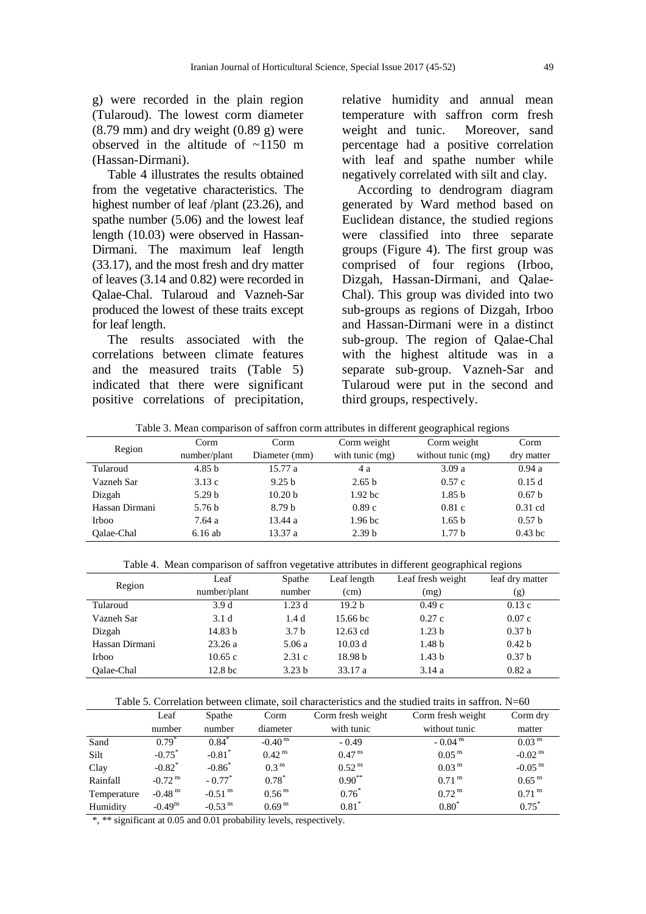g) were recorded in the plain region (Tularoud). The lowest corm diameter  $(8.79 \text{ mm})$  and dry weight  $(0.89 \text{ g})$  were observed in the altitude of  $\sim$ 1150 m (Hassan-Dirmani).

Table 4 illustrates the results obtained from the vegetative characteristics. The highest number of leaf /plant (23.26), and spathe number (5.06) and the lowest leaf length (10.03) were observed in Hassan-Dirmani. The maximum leaf length (33.17), and the most fresh and dry matter of leaves (3.14 and 0.82) were recorded in Qalae-Chal. Tularoud and Vazneh-Sar produced the lowest of these traits except for leaf length.

The results associated with the correlations between climate features and the measured traits (Table 5) indicated that there were significant positive correlations of precipitation, relative humidity and annual mean temperature with saffron corm fresh weight and tunic. Moreover, sand percentage had a positive correlation with leaf and spathe number while negatively correlated with silt and clay.

According to dendrogram diagram generated by Ward method based on Euclidean distance, the studied regions were classified into three separate groups (Figure 4). The first group was comprised of four regions (Irboo, Dizgah, Hassan-Dirmani, and Qalae-Chal). This group was divided into two sub-groups as regions of Dizgah, Irboo and Hassan-Dirmani were in a distinct sub-group. The region of Qalae-Chal with the highest altitude was in a separate sub-group. Vazneh-Sar and Tularoud were put in the second and third groups, respectively.

| Table 5. Mean comparison or samfon corni authoutes in unferent geographical regions |                   |                    |                     |                    |                   |  |  |  |  |  |
|-------------------------------------------------------------------------------------|-------------------|--------------------|---------------------|--------------------|-------------------|--|--|--|--|--|
| Region                                                                              | Corm              | Corm               | Corm weight         | Corm weight        | Corm              |  |  |  |  |  |
|                                                                                     | number/plant      | Diameter (mm)      | with tunic (mg)     | without tunic (mg) | dry matter        |  |  |  |  |  |
| Tularoud                                                                            | 4.85 <sub>b</sub> | 15.77 a            | 4 a                 | 3.09a              | 0.94a             |  |  |  |  |  |
| Vazneh Sar                                                                          | 3.13c             | 9.25 h             | 2.65 <sub>b</sub>   | 0.57c              | 0.15d             |  |  |  |  |  |
| Dizgah                                                                              | 5.29 <sub>b</sub> | 10.20 <sub>b</sub> | 1.92 <sub>b</sub> c | 1.85 <sub>b</sub>  | 0.67 <sub>b</sub> |  |  |  |  |  |
| Hassan Dirmani                                                                      | 5.76 <sub>b</sub> | 8.79 h             | 0.89c               | 0.81c              | $0.31$ cd         |  |  |  |  |  |
| Irboo                                                                               | 7.64 a            | 13.44a             | 1.96 <sub>bc</sub>  | 1.65 <sub>b</sub>  | 0.57 <sub>b</sub> |  |  |  |  |  |
| Oalae-Chal                                                                          | 6.16ab            | 13.37 a            | 2.39 <sub>b</sub>   | 1.77h              | $0.43$ bc         |  |  |  |  |  |

Table 3. Mean comparison of saffron corm attributes in different geographical regions

Table 4. Mean comparison of saffron vegetative attributes in different geographical regions

|                |                    | ັ                 |                    | <u> UII</u>       | ັ                 |
|----------------|--------------------|-------------------|--------------------|-------------------|-------------------|
| Region         | Leaf               | Spathe            | Leaf length        | Leaf fresh weight | leaf dry matter   |
|                | number/plant       | number            | (cm)               | (mg)              | (g)               |
| Tularoud       | 3.9d               | 1.23d             | 19.2 <sub>b</sub>  | 0.49c             | 0.13c             |
| Vazneh Sar     | 3.1 <sub>d</sub>   | 1.4d              | 15.66 bc           | 0.27c             | 0.07c             |
| Dizgah         | 14.83 b            | 3.7 <sub>b</sub>  | $12.63$ cd         | 1.23 <sub>b</sub> | 0.37 <sub>b</sub> |
| Hassan Dirmani | 23.26a             | 5.06 a            | 10.03 d            | 1.48 <sub>b</sub> | 0.42 <sub>b</sub> |
| Irboo          | 10.65c             | 2.31c             | 18.98 <sub>b</sub> | 1.43 <sub>b</sub> | 0.37 <sub>b</sub> |
| Oalae-Chal     | 12.8 <sub>bc</sub> | 3.23 <sub>b</sub> | 33.17a             | 3.14a             | 0.82a             |

|  |  | Table 5. Correlation between climate, soil characteristics and the studied traits in saffron. N=60 |  |  |  |  |  |  |
|--|--|----------------------------------------------------------------------------------------------------|--|--|--|--|--|--|
|--|--|----------------------------------------------------------------------------------------------------|--|--|--|--|--|--|

|             | Leaf                  | Spathe                | Corm                  | Corm fresh weight    | Corm fresh weight     | Corm dry              |
|-------------|-----------------------|-----------------------|-----------------------|----------------------|-----------------------|-----------------------|
|             | number                | number                | diameter              | with tunic           | without tunic         | matter                |
| Sand        | $0.79*$               | $0.84*$               | $-0.40$ <sup>ns</sup> | $-0.49$              | $-0.04$ <sup>ns</sup> | 0.03 <sup>ns</sup>    |
| Silt        | $-0.75^*$             | $-0.81$ <sup>*</sup>  | $0.42$ <sup>ns</sup>  | $0.47$ <sup>ns</sup> | $0.05$ <sup>ns</sup>  | $-0.02$ <sup>ns</sup> |
| Clay        | $-0.82$ <sup>*</sup>  | $-0.86^*$             | 0.3 <sup>ns</sup>     | $0.52$ <sup>ns</sup> | 0.03 <sup>ns</sup>    | $-0.05$ <sup>ns</sup> |
| Rainfall    | $-0.72$ <sup>ns</sup> | $-0.77$ <sup>*</sup>  | $0.78*$               | $0.90***$            | $0.71$ <sup>ns</sup>  | $0.65$ <sup>ns</sup>  |
| Temperature | $-0.48$ <sup>ns</sup> | $-0.51$ <sup>ns</sup> | 0.56 <sup>ns</sup>    | $0.76*$              | $0.72$ <sup>ns</sup>  | $0.71$ <sup>ns</sup>  |
| Humidity    | $-0.49$ <sup>ns</sup> | $-0.53$ <sup>ns</sup> | 0.69 <sup>ns</sup>    | $0.81*$              | $0.80*$               | $0.75^*$              |

\*, \*\* significant at 0.05 and 0.01 probability levels, respectively.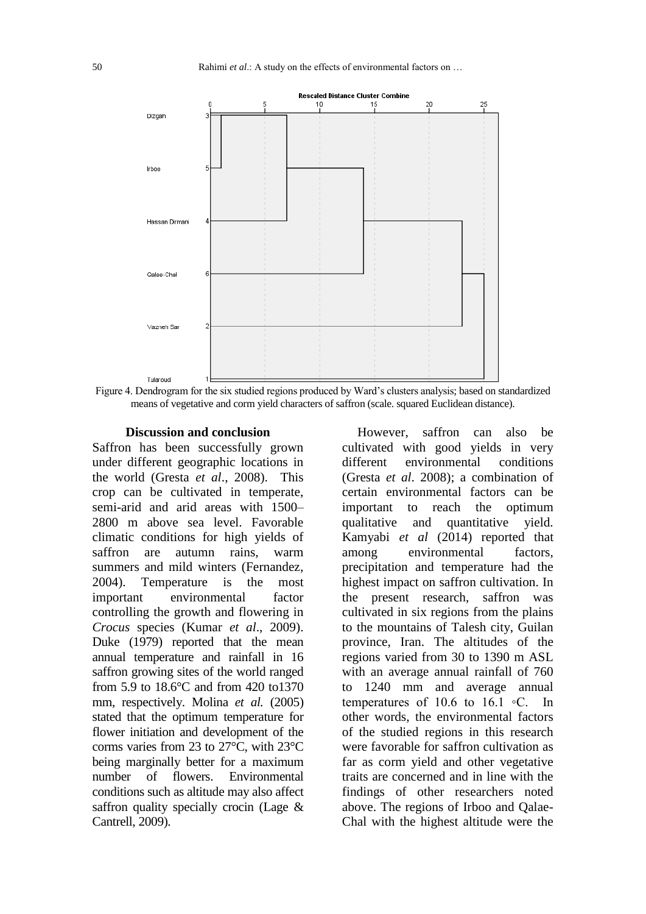

Figure 4. Dendrogram for the six studied regions produced by Ward's clusters analysis; based on standardized means of vegetative and corm yield characters of saffron (scale. squared Euclidean distance).

#### **Discussion and conclusion**

Saffron has been successfully grown under different geographic locations in the world (Gresta *et al*., 2008). This crop can be cultivated in temperate, semi-arid and arid areas with 1500– 2800 m above sea level. Favorable climatic conditions for high yields of saffron are autumn rains, warm summers and mild winters (Fernandez, 2004). Temperature is the most important environmental factor controlling the growth and flowering in *Crocus* species (Kumar *et al*., 2009). Duke (1979) reported that the mean annual temperature and rainfall in 16 saffron growing sites of the world ranged from 5.9 to 18.6°C and from 420 to1370 mm, respectively. Molina *et al.* (2005) stated that the optimum temperature for flower initiation and development of the corms varies from 23 to 27°C, with 23°C being marginally better for a maximum number of flowers. Environmental conditions such as altitude may also affect saffron quality specially crocin (Lage & Cantrell, 2009).

However, saffron can also be cultivated with good yields in very different environmental conditions (Gresta *et al*. 2008); a combination of certain environmental factors can be important to reach the optimum qualitative and quantitative yield. Kamyabi *et al* (2014) reported that among environmental factors, precipitation and temperature had the highest impact on saffron cultivation. In the present research, saffron was cultivated in six regions from the plains to the mountains of Talesh city, Guilan province, Iran. The altitudes of the regions varied from 30 to 1390 m ASL with an average annual rainfall of 760 to 1240 mm and average annual temperatures of 10.6 to 16.1  $\circ$ C. In other words, the environmental factors of the studied regions in this research were favorable for saffron cultivation as far as corm yield and other vegetative traits are concerned and in line with the findings of other researchers noted above. The regions of Irboo and Qalae-Chal with the highest altitude were the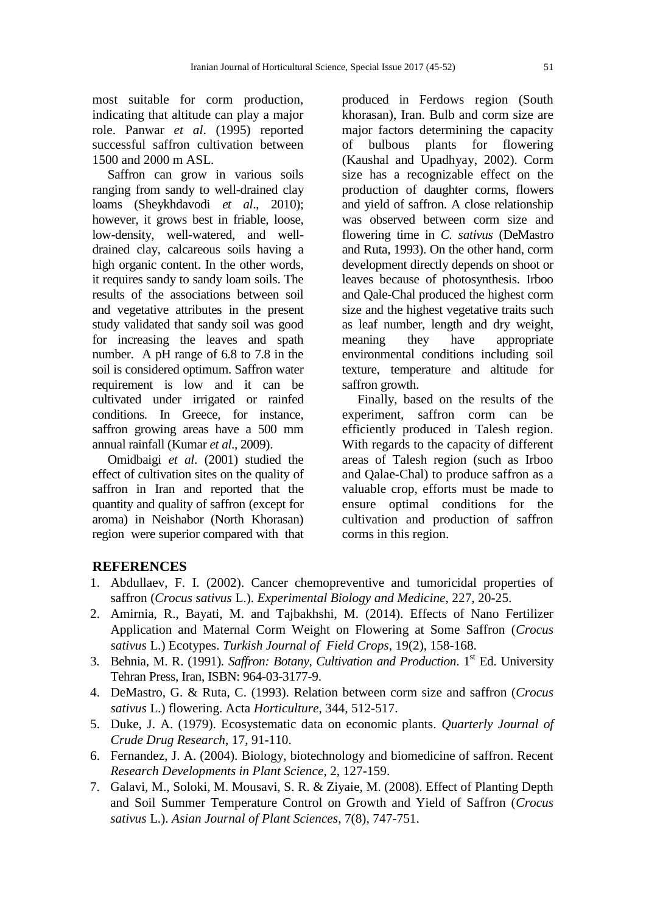most suitable for corm production, indicating that altitude can play a major role. Panwar *et al*. (1995) reported successful saffron cultivation between 1500 and 2000 m ASL.

Saffron can grow in various soils ranging from sandy to well-drained clay loams (Sheykhdavodi *et al*., 2010); however, it grows best in friable, loose, low-density, well-watered, and welldrained clay, calcareous soils having a high organic content. In the other words, it requires sandy to sandy loam soils. The results of the associations between soil and vegetative attributes in the present study validated that sandy soil was good for increasing the leaves and spath number. A pH range of 6.8 to 7.8 in the soil is considered optimum. Saffron water requirement is low and it can be cultivated under irrigated or rainfed conditions. In Greece, for instance, saffron growing areas have a 500 mm annual rainfall (Kumar *et al*., 2009).

Omidbaigi *et al*. (2001) studied the effect of cultivation sites on the quality of saffron in Iran and reported that the quantity and quality of saffron (except for aroma) in Neishabor (North Khorasan) region were superior compared with that

produced in Ferdows region (South khorasan), Iran. Bulb and corm size are major factors determining the capacity of bulbous plants for flowering (Kaushal and Upadhyay, 2002). Corm size has a recognizable effect on the production of daughter corms, flowers and yield of saffron. A close relationship was observed between corm size and flowering time in *C. sativus* (DeMastro and Ruta, 1993). On the other hand, corm development directly depends on shoot or leaves because of photosynthesis. Irboo and Qale-Chal produced the highest corm size and the highest vegetative traits such as leaf number, length and dry weight, meaning they have appropriate environmental conditions including soil texture, temperature and altitude for saffron growth.

Finally, based on the results of the experiment, saffron corm can be efficiently produced in Talesh region. With regards to the capacity of different areas of Talesh region (such as Irboo and Qalae-Chal) to produce saffron as a valuable crop, efforts must be made to ensure optimal conditions for the cultivation and production of saffron corms in this region.

# **REFERENCES**

- 1. Abdullaev, F. I. (2002). Cancer chemopreventive and tumoricidal properties of saffron (*Crocus sativus* L.). *Experimental Biology and Medicine*, 227, 20-25.
- 2. Amirnia, R., Bayati, M. and Tajbakhshi, M. (2014). Effects of Nano Fertilizer Application and Maternal Corm Weight on Flowering at Some Saffron (*Crocus sativus* L.) Ecotypes. *Turkish Journal of Field Crops*, 19(2), 158-168.
- 3. Behnia, M. R. (1991). *Saffron: Botany, Cultivation and Production*. 1<sup>st</sup> Ed. University Tehran Press, Iran, ISBN: 964-03-3177-9.
- 4. DeMastro, G. & Ruta, C. (1993). Relation between corm size and saffron (*Crocus sativus* L.) flowering. Acta *Horticulture*, 344, 512-517.
- 5. Duke, J. A. (1979). Ecosystematic data on economic plants. *Quarterly Journal of Crude Drug Research*, 17, 91-110.
- 6. Fernandez, J. A. (2004). Biology, biotechnology and biomedicine of saffron. Recent *Research Developments in Plant Science*, 2, 127-159.
- 7. Galavi, M., Soloki, M. Mousavi, S. R. & Ziyaie, M. (2008). Effect of Planting Depth and Soil Summer Temperature Control on Growth and Yield of Saffron (*Crocus sativus* L.). *Asian Journal of Plant Sciences*, 7(8), 747-751.